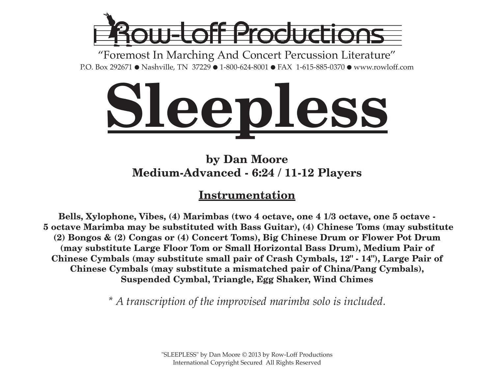

"Foremost In Marching And Concert Percussion Literature" P.O. Box 292671 ● Nashville, TN 37229 ● 1-800-624-8001 ● FAX 1-615-885-0370 ● www.rowloff.com



**by Dan Moore Medium-Advanced - 6:24 / 11-12 Players**

#### **Instrumentation**

**Bells, Xylophone, Vibes, (4) Marimbas (two 4 octave, one 4 1/3 octave, one 5 octave - 5 octave Marimba may be substituted with Bass Guitar), (4) Chinese Toms (may substitute (2) Bongos & (2) Congas or (4) Concert Toms), Big Chinese Drum or Flower Pot Drum (may substitute Large Floor Tom or Small Horizontal Bass Drum), Medium Pair of Chinese Cymbals (may substitute small pair of Crash Cymbals, 12" - 14"), Large Pair of Chinese Cymbals (may substitute a mismatched pair of China/Pang Cymbals), Suspended Cymbal, Triangle, Egg Shaker, Wind Chimes**

*\* A transcription of the improvised marimba solo is included.*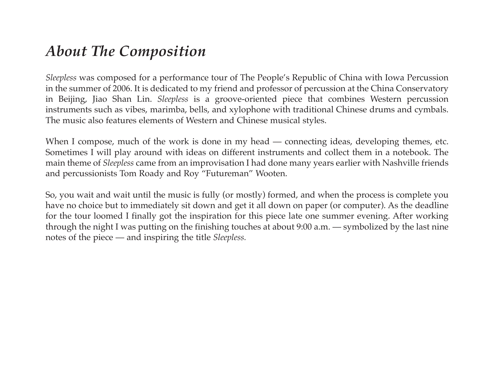#### *About The Composition*

*Sleepless* was composed for a performance tour of The People's Republic of China with Iowa Percussion in the summer of 2006. It is dedicated to my friend and professor of percussion at the China Conservatory in Beijing, Jiao Shan Lin. *Sleepless* is a groove-oriented piece that combines Western percussion instruments such as vibes, marimba, bells, and xylophone with traditional Chinese drums and cymbals. The music also features elements of Western and Chinese musical styles.

When I compose, much of the work is done in my head — connecting ideas, developing themes, etc. Sometimes I will play around with ideas on different instruments and collect them in a notebook. The main theme of *Sleepless* came from an improvisation I had done many years earlier with Nashville friends and percussionists Tom Roady and Roy "Futureman" Wooten.

So, you wait and wait until the music is fully (or mostly) formed, and when the process is complete you have no choice but to immediately sit down and get it all down on paper (or computer). As the deadline for the tour loomed I finally got the inspiration for this piece late one summer evening. After working through the night I was putting on the finishing touches at about 9:00 a.m. — symbolized by the last nine notes of the piece — and inspiring the title *Sleepless.*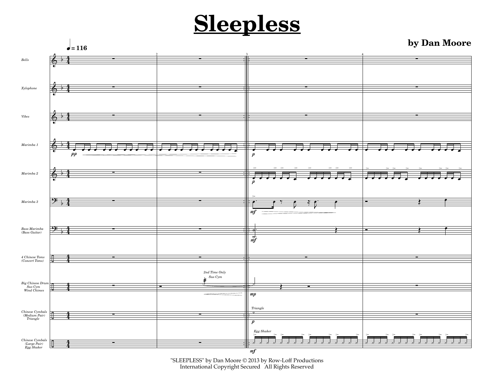### **Sleepless**



"SLEEPLESS" by Dan Moore © 2013 by Row-Loff Productions International Copyright Secured All Rights Reserved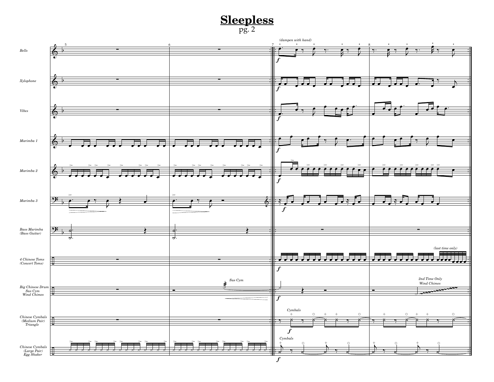# $\underset{pg. 2}{\textbf{Sleepless}}$



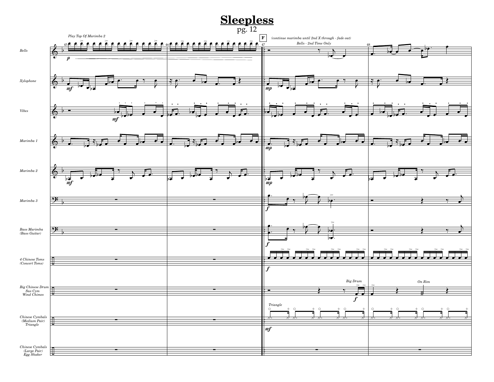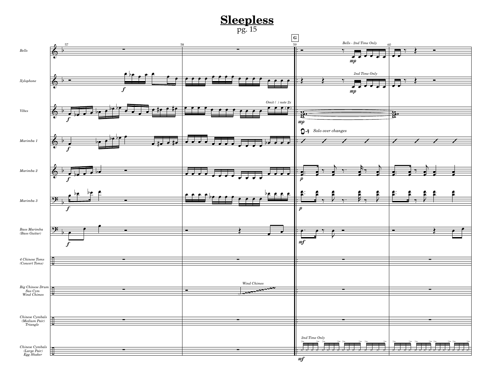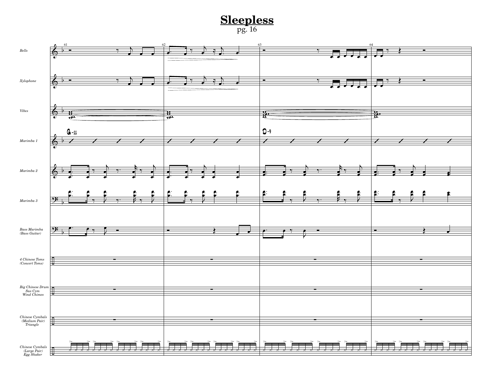# $\underset{\mathrm{pg. 16}}{\textbf{Sleepless}}$



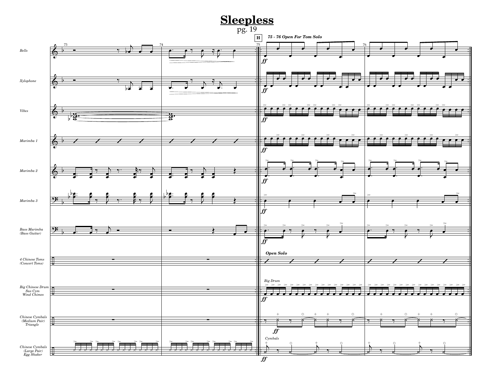